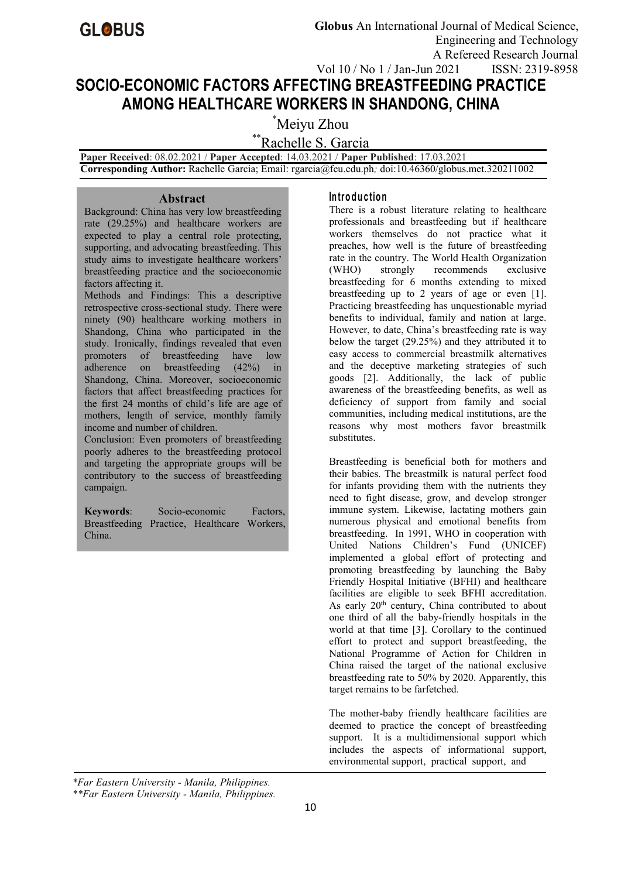# **SOCIO-ECONOMIC FACTORS AFFECTING BREASTFEEDING PRACTICE AMONG HEALTHCARE WORKERS IN SHANDONG, CHINA**

\*Meiyu Zhou

\*\*Rachelle S. Garcia

**Paper Received**: 08.02.2021 / **Paper Accepted**: 14.03.2021 / **Paper Published**: 17.03.2021

**Corresponding Author:** Rachelle Garcia; Email: rgarcia@feu.edu.ph*;* doi:10.46360/globus.met.320211002

## **Abstract**

Background: China has very low breastfeeding rate (29.25%) and healthcare workers are expected to play a central role protecting, supporting, and advocating breastfeeding. This study aims to investigate healthcare workers' breastfeeding practice and the socioeconomic factors affecting it.

Methods and Findings: This a descriptive retrospective cross-sectional study. There were ninety (90) healthcare working mothers in Shandong, China who participated in the study. Ironically, findings revealed that even promoters of breastfeeding have low adherence on breastfeeding (42%) in Shandong, China. Moreover, socioeconomic factors that affect breastfeeding practices for the first 24 months of child's life are age of mothers, length of service, monthly family income and number of children.

Conclusion: Even promoters of breastfeeding poorly adheres to the breastfeeding protocol and targeting the appropriate groups will be contributory to the success of breastfeeding campaign.

**Keywords**: Socio-economic Factors, Breastfeeding Practice, Healthcare Workers, China.

# **In tro d u c tio n**

There is a robust literature relating to healthcare professionals and breastfeeding but if healthcare workers themselves do not practice what it preaches, how well is the future of breastfeeding rate in the country. The World Health Organization<br>(WHO) strongly recommends exclusive (WHO) strongly recommends exclusive breastfeeding for 6 months extending to mixed breastfeeding up to 2 years of age or even [1]. Practicing breastfeeding has unquestionable myriad benefits to individual, family and nation at large. However, to date, China's breastfeeding rate is way below the target (29.25%) and they attributed it to easy access to commercial breastmilk alternatives and the deceptive marketing strategies of such goods [2]. Additionally, the lack of public awareness of the breastfeeding benefits, as well as deficiency of support from family and social communities, including medical institutions, are the reasons why most mothers favor breastmilk substitutes.

Breastfeeding is beneficial both for mothers and their babies. The breastmilk is natural perfect food for infants providing them with the nutrients they need to fight disease, grow, and develop stronger immune system. Likewise, lactating mothers gain numerous physical and emotional benefits from breastfeeding. In 1991, WHO in cooperation with United Nations Children's Fund (UNICEF) implemented a global effort of protecting and promoting breastfeeding by launching the Baby Friendly Hospital Initiative (BFHI) and healthcare facilities are eligible to seek BFHI accreditation. As early 20<sup>th</sup> century, China contributed to about one third of all the baby-friendly hospitals in the world at that time [3]. Corollary to the continued effort to protect and support breastfeeding, the National Programme of Action for Children in China raised the target of the national exclusive breastfeeding rate to 50% by 2020. Apparently, this target remains to be farfetched.

The mother-baby friendly healthcare facilities are deemed to practice the concept of breastfeeding support. It is a multidimensional support which includes the aspects of informational support, environmental support, practical support, and

*\*Far Eastern University - Manila, Philippines. \*\*Far Eastern University - Manila, Philippines.*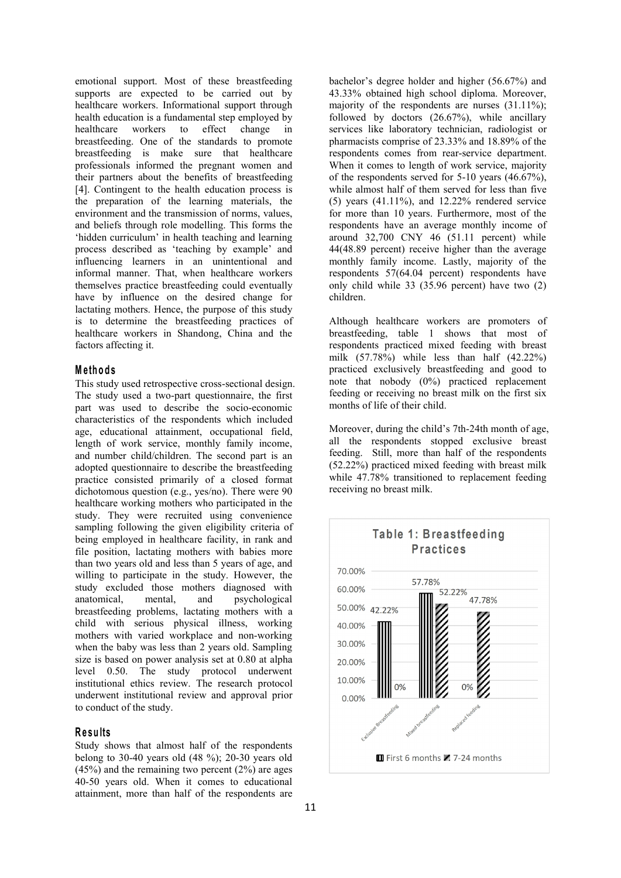emotional support. Most of these breastfeeding supports are expected to be carried out by healthcare workers. Informational support through health education is a fundamental step employed by healthcare workers to effect change in breastfeeding. One of the standards to promote breastfeeding is make sure that healthcare professionals informed the pregnant women and their partners about the benefits of breastfeeding [4]. Contingent to the health education process is the preparation of the learning materials, the environment and the transmission of norms, values, and beliefs through role modelling. This forms the 'hidden curriculum' in health teaching and learning process described as 'teaching by example' and influencing learners in an unintentional and informal manner. That, when healthcare workers themselves practice breastfeeding could eventually have by influence on the desired change for lactating mothers. Hence, the purpose of this study is to determine the breastfeeding practices of healthcare workers in Shandong, China and the factors affecting it.

#### **M e th o d s**

This study used retrospective cross-sectional design. The study used a two-part questionnaire, the first part was used to describe the socio-economic characteristics of the respondents which included age, educational attainment, occupational field, length of work service, monthly family income, and number child/children. The second part is an adopted questionnaire to describe the breastfeeding practice consisted primarily of a closed format dichotomous question (e.g., yes/no). There were 90 healthcare working mothers who participated in the study. They were recruited using convenience sampling following the given eligibility criteria of sampling following the given englomly criteria of<br>being employed in healthcare facility, in rank and **Table 1: Breastfeeding** file position, lactating mothers with babies more than two years old and less than 5 years of age, and<br> willing to participate in the study. However, the study excluded those mothers diagnosed with 60,00% anatomical, mental, and psychological<br>hypertfecting problems loctating mothers with a 50.00% 42.22% breastfeeding problems, lactating mothers with a child with serious physical illness, working mothers with varied workplace and non-working<br>when the help was less than 2 years ald Sampline when the baby was less than 2 years old. Sampling size is based on power analysis set at 0.80 at alpha 20.00% level 0.50. The study protocol underwent institutional ethics review. The research protocol underwent institutional review and approval prior to conduct of the study.

#### **R e su lts**

Study shows that almost half of the respondents belong to 30-40 years old  $(48 \%)$ ; 20-30 years old **II** First 6 months **Z** 7-24 months  $(45%)$  and the remaining two percent  $(2%)$  are ages 40-50 years old.When it comes to educational attainment, more than half of the respondents are

bachelor's degree holder and higher (56.67%) and 43.33% obtained high school diploma. Moreover, majority of the respondents are nurses (31.11%); followed by doctors (26.67%), while ancillary services like laboratory technician, radiologist or pharmacists comprise of 23.33% and 18.89% of the respondents comes from rear-service department. When it comes to length of work service, majority of the respondents served for 5-10 years (46.67%), while almost half of them served for less than five (5) years (41.11%), and 12.22% rendered service for more than 10 years. Furthermore, most of the respondents have an average monthly income of around 32,700 CNY 46 (51.11 percent) while 44(48.89 percent) receive higher than the average monthly family income. Lastly, majority of the respondents 57(64.04 percent) respondents have only child while  $33$  ( $35.96$  percent) have two (2) children.

Although healthcare workers are promoters of breastfeeding, table 1 shows that most of respondents practiced mixed feeding with breast milk (57.78%) while less than half (42.22%) practiced exclusively breastfeeding and good to note that nobody (0%) practiced replacement feeding or receiving no breast milk on the first six months of life of their child.

Moreover, during the child's 7th-24th month of age, all the respondents stopped exclusive breast feeding. Still, more than half of the respondents (52.22%) practiced mixed feeding with breast milk while 47.78% transitioned to replacement feeding receiving no breast milk.

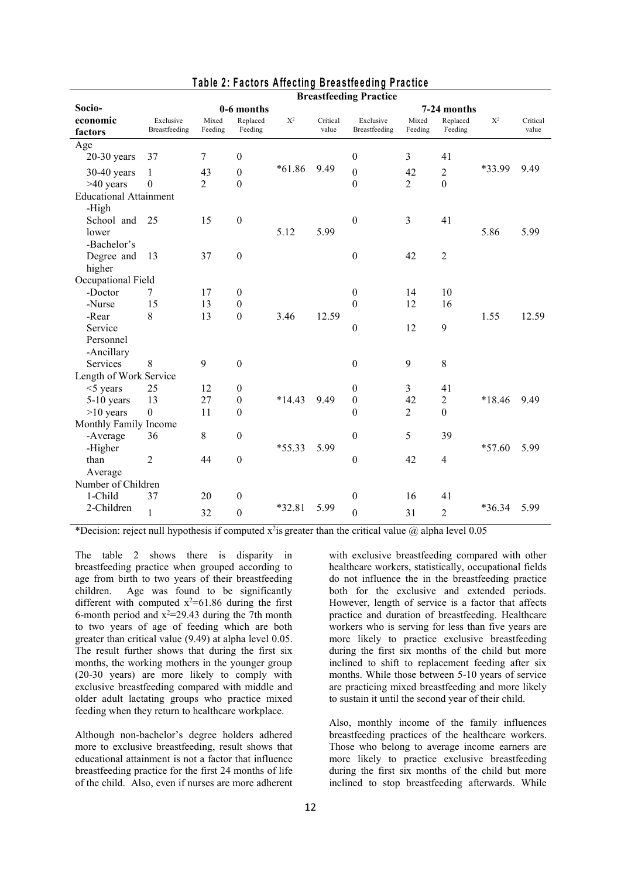| <b>Breastfeeding Practice</b> |                           |                |                  |          |          |                  |                |                |          |          |
|-------------------------------|---------------------------|----------------|------------------|----------|----------|------------------|----------------|----------------|----------|----------|
| Socio-                        | 0-6 months<br>7-24 months |                |                  |          |          |                  |                |                |          |          |
| economic                      | Exclusive                 | Mixed          | Replaced         | $X^2$    | Critical | Exclusive        | Mixed          | Replaced       | $X^2$    | Critical |
| factors                       | Breastfeeding             | Feeding        | Feeding          |          | value    | Breastfeeding    | Feeding        | Feeding        |          | value    |
| Age                           |                           |                |                  |          |          |                  |                |                |          |          |
| $20-30$ years                 | 37                        | 7              | $\boldsymbol{0}$ | $*61.86$ | 9.49     | $\theta$         | 3              | 41             | *33.99   |          |
| $30-40$ years                 | $\mathbf{1}$              | 43             | $\boldsymbol{0}$ |          |          | $\boldsymbol{0}$ | 42             | $\overline{2}$ |          | 9.49     |
| $>40$ years                   | $\theta$                  | $\overline{2}$ | $\boldsymbol{0}$ |          |          | $\boldsymbol{0}$ | $\overline{2}$ | $\mathbf{0}$   |          |          |
| <b>Educational Attainment</b> |                           |                |                  |          |          |                  |                |                |          |          |
| -High                         |                           |                |                  |          |          |                  |                |                |          |          |
| School and                    | 25                        | 15             | $\boldsymbol{0}$ |          |          | $\boldsymbol{0}$ | 3              | 41             |          |          |
| lower                         |                           |                |                  | 5.12     | 5.99     |                  |                |                | 5.86     | 5.99     |
| -Bachelor's                   |                           |                |                  |          |          |                  |                |                |          |          |
| Degree and                    | 13                        | 37             | $\boldsymbol{0}$ |          |          | $\boldsymbol{0}$ | 42             | $\overline{2}$ |          |          |
| higher                        |                           |                |                  |          |          |                  |                |                |          |          |
| Occupational Field            |                           |                |                  |          |          |                  |                |                |          |          |
| -Doctor                       | 7                         | 17             | $\boldsymbol{0}$ |          |          | $\boldsymbol{0}$ | 14             | 10             |          |          |
| -Nurse                        | 15                        | 13             | $\boldsymbol{0}$ |          |          | $\overline{0}$   | 12             | 16             |          |          |
| -Rear                         | 8                         | 13             | $\boldsymbol{0}$ | 3.46     | 12.59    |                  |                |                | 1.55     | 12.59    |
| Service                       |                           |                |                  |          |          | $\boldsymbol{0}$ | 12             | 9              |          |          |
| Personnel                     |                           |                |                  |          |          |                  |                |                |          |          |
| -Ancillary                    |                           |                |                  |          |          |                  |                |                |          |          |
| Services                      | 8                         | 9              | $\boldsymbol{0}$ |          |          | $\boldsymbol{0}$ | 9              | 8              |          |          |
| Length of Work Service        |                           |                |                  |          |          |                  |                |                |          |          |
| $<$ 5 years                   | 25                        | 12             | $\boldsymbol{0}$ |          |          | $\boldsymbol{0}$ | 3              | 41             |          |          |
| $5-10$ years                  | 13                        | 27             | $\boldsymbol{0}$ | $*14.43$ | 9.49     | $\boldsymbol{0}$ | 42             | $\overline{2}$ | *18.46   | 9.49     |
| $>10$ years                   | $\mathbf{0}$              | 11             | $\boldsymbol{0}$ |          |          | $\theta$         | $\overline{2}$ | $\overline{0}$ |          |          |
| Monthly Family Income         |                           |                |                  |          |          |                  |                |                |          |          |
| -Average                      | 36                        | $8\,$          | $\boldsymbol{0}$ |          |          | $\boldsymbol{0}$ | 5              | 39             |          |          |
| -Higher                       |                           |                |                  | $*55.33$ | 5.99     |                  |                |                | $*57.60$ | 5.99     |
| than                          | $\overline{2}$            | 44             | $\boldsymbol{0}$ |          |          | $\boldsymbol{0}$ | 42             | $\overline{4}$ |          |          |
| Average                       |                           |                |                  |          |          |                  |                |                |          |          |
| Number of Children            |                           |                |                  |          |          |                  |                |                |          |          |
| 1-Child                       | 37                        | 20             | $\boldsymbol{0}$ |          |          | $\boldsymbol{0}$ | 16             | 41             |          |          |
| 2-Children                    | $\mathbf{1}$              | 32             | $\boldsymbol{0}$ | $*32.81$ | 5.99     | $\boldsymbol{0}$ | 31             | $\overline{2}$ | *36.34   | 5.99     |
|                               |                           |                |                  |          |          |                  |                |                |          |          |

# **Table 2: Factors Affecting Breastfeeding Practice**

\*Decision: reject null hypothesis if computed x<sup>2</sup>is greater than the critical value @ alpha level 0.05

The table 2 shows there is disparity in breastfeeding practice when grouped according to age from birth to two years of their breastfeeding children. Age was found to be significantly different with computed  $x^2=61.86$  during the first Howev 6-month period and  $x^2=29.43$  during the 7th month practice and d to two years of age of feeding which are both greater than critical value (9.49) atalpha level 0.05. The result further shows that during the first six months, the working mothers in the younger group (20-30 years) are more likely to comply with exclusive breastfeeding compared with middle and older adult lactating groups who practice mixed feeding when they return to healthcare workplace.

Although non-bachelor's degree holders adhered more to exclusive breastfeeding, result shows that educational attainment is not a factor that influence breastfeeding practice for the first 24 months of life of the child. Also, even if nurses are more adherent

with exclusive breastfeeding compared with other healthcare workers, statistically, occupational fields do not influence the in the breastfeeding practice both for the exclusive and extended periods. However, length of service is a factor that affects practice and duration of breastfeeding. Healthcare workers who is serving for less than five years are more likely to practice exclusive breastfeeding during the first six months of the child but more inclined to shift to replacement feeding after six months. While those between 5-10 years of service are practicing mixed breastfeeding and more likely to sustain it until the second year of their child.

Also, monthly income of the family influences breastfeeding practices of the healthcare workers. Those who belong to average income earners are more likely to practice exclusive breastfeeding during the first six months of the child but more inclined to stop breastfeeding afterwards. While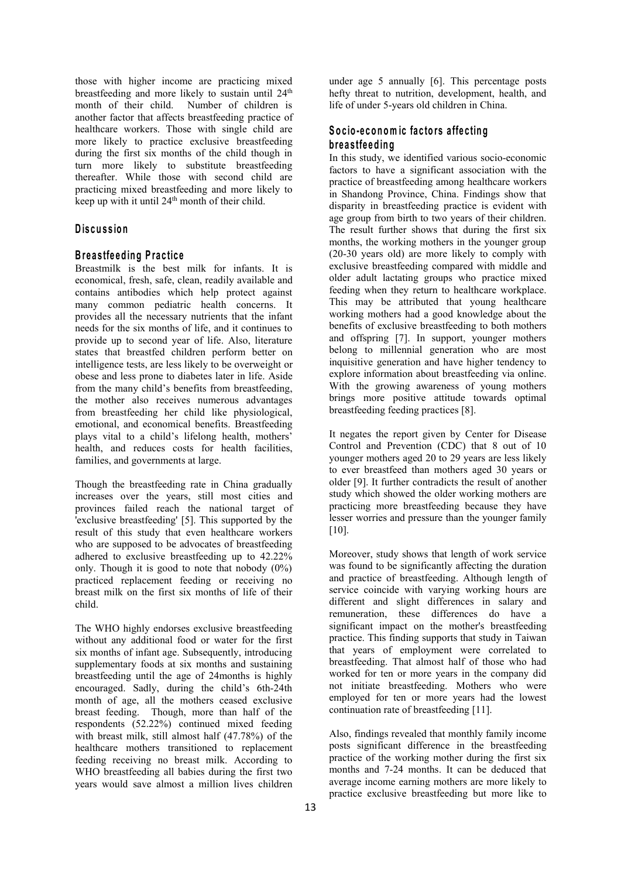those with higher income are practicing mixed breastfeeding and more likely to sustain until 24 month of their child. Number of children is another factor that affects breastfeeding practice of healthcare workers. Those with single child are more likely to practice exclusive breastfeeding during the first six months of the child though in turn more likely to substitute breastfeeding thereafter. While those with second child are practicing mixed breastfeeding and more likely to keep up with it until 24<sup>th</sup> month of their child.

## $D$  **iscussion**

#### **B re a s tfe ed in g P ra c tic e**

Breastmilk is the best milk for infants. It is economical, fresh, safe, clean, readily available and contains antibodies which help protect against many common pediatric health concerns. It provides all the necessary nutrients that the infant needs for the six months of life, and it continues to provide up to second year of life. Also, literature states that breastfed children perform better on intelligence tests, are less likely to be overweight or obese and less prone to diabetes later in life. Aside from the many child's benefits from breastfeeding, the mother also receives numerous advantages from breastfeeding her child like physiological, emotional, and economical benefits. Breastfeeding plays vital to a child's lifelong health, mothers' health, and reduces costs for health facilities, families, and governments at large.

Though the breastfeeding rate in China gradually increases over the years, still most cities and provinces failed reach the national target of 'exclusive breastfeeding' [5]. This supported by the result of this study that even healthcare workers who are supposed to be advocates of breastfeeding adhered to exclusive breastfeeding up to 42.22% only. Though it is good to note that nobody  $(0\%)$ practiced replacement feeding or receiving no breast milk on the first six months of life of their child.

The WHO highly endorses exclusive breastfeeding without any additional food or water for the first six months of infant age. Subsequently, introducing supplementary foods at six months and sustaining breastfeeding until the age of 24months is highly encouraged. Sadly, during the child's 6th-24th month of age, all the mothers ceased exclusive breast feeding. Though, more than half of the respondents (52.22%) continued mixed feeding with breast milk, still almost half (47.78%) of the healthcare mothers transitioned to replacement feeding receiving no breast milk. According to WHO breastfeeding all babies during the first two years would save almost a million lives children

<sup>th</sup> hefty threat to nutrition, development, health, and under age 5 annually [6]. This percentage posts life of under 5-years old children in China.

# **S o c io -e co n om ic fa c to rs affe c tin g b re a s tfe ed in g**

In this study, we identified various socio-economic factors to have a significant association with the practice of breastfeeding among healthcare workers in Shandong Province, China. Findings show that disparity in breastfeeding practice is evident with age group from birth to two years of their children. The result further shows that during the first six months, the working mothers in the younger group (20-30 years old) are more likely to comply with exclusive breastfeeding compared with middle and older adult lactating groups who practice mixed feeding when they return to healthcare workplace. This may be attributed that young healthcare working mothers had a good knowledge about the benefits of exclusive breastfeeding to both mothers and offspring [7]. In support, younger mothers belong to millennial generation who are most inquisitive generation and have higher tendency to explore information about breastfeeding via online. With the growing awareness of young mothers brings more positive attitude towards optimal breastfeeding feeding practices [8].

It negates the report given by Center for Disease Control and Prevention (CDC) that 8 out of 10 younger mothers aged 20 to 29 years are less likely to ever breastfeed than mothers aged 30 years or older [9]. It further contradicts the result of another study which showed the older working mothers are practicing more breastfeeding because they have lesser worries and pressure than the younger family [10].

Moreover, study shows that length of work service was found to be significantly affecting the duration and practice of breastfeeding. Although length of service coincide with varying working hours are different and slight differences in salary and remuneration, these differences do have a significant impact on the mother's breastfeeding practice. This finding supports that study in Taiwan that years of employment were correlated to breastfeeding. That almost half of those who had worked for ten or more years in the company did not initiate breastfeeding. Mothers who were employed for ten or more years had the lowest continuation rate of breastfeeding [11].

Also, findings revealed that monthly family income posts significant difference in the breastfeeding practice of the working mother during the first six months and 7-24 months. It can be deduced that average income earning mothers are more likely to practice exclusive breastfeeding but more like to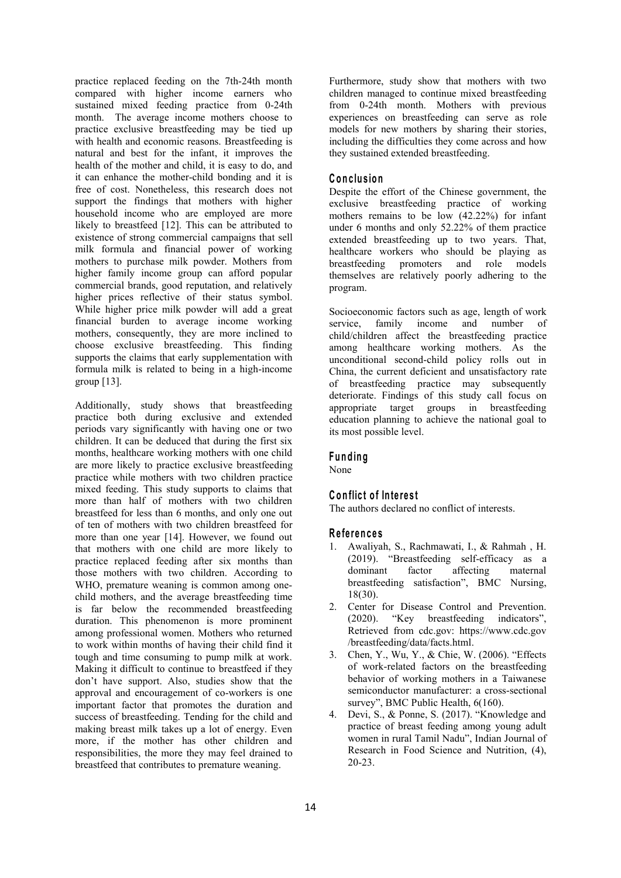practice replaced feeding on the 7th-24th month compared with higher income earners who sustained mixed feeding practice from 0-24th month. The average income mothers choose to practice exclusive breastfeeding may be tied up with health and economic reasons. Breastfeeding is natural and best for the infant, it improves the health of the mother and child, it is easy to do, and it can enhance the mother-child bonding and it is free of cost. Nonetheless, this research does not support the findings that mothers with higher household income who are employed are more likely to breastfeed [12]. This can be attributed to existence of strong commercial campaigns that sell milk formula and financial power of working mothers to purchase milk powder. Mothers from breastfeeding higher family income group can afford popular commercial brands, good reputation, and relatively higher prices reflective of their status symbol. While higher price milk powder will add a great financial burden to average income working mothers, consequently, they are more inclined to choose exclusive breastfeeding. This finding supports the claims that early supplementation with formula milk is related to being in a high‐income group [13].

Additionally, study shows that breastfeeding practice both during exclusive and extended periods vary significantly with having one or two children. It can be deduced that during the first six months, healthcare working mothers with one child are more likely to practice exclusive breastfeeding practice while mothers with two children practice mixed feeding. This study supports to claims that more than half of mothers with two children breastfeed for less than 6 months, and only one out of ten of mothers with two children breastfeed for more than one year [14]. However, we found out that mothers with one child are more likely to practice replaced feeding after six months than those mothers with two children. According to WHO, premature weaning is common among one child mothers, and the average breastfeeding time is far below the recommended breastfeeding duration. This phenomenon is more prominent among professional women. Mothers who returned to work within months of having their child find it tough and time consuming to pump milk at work. Making it difficult to continue to breastfeed if they don't have support. Also, studies show that the approval and encouragement of co-workers is one important factor that promotes the duration and<br>success of breastfeeding. Tending for the child and<br> $\frac{4}{3}$ success of breastfeeding. Tending for the child and making breast milk takes up a lot of energy. Even more, if the mother has other children and responsibilities, the more they may feel drained to breastfeed that contributes to premature weaning.

Furthermore, study show that mothers with two children managed to continue mixed breastfeeding from 0-24th month. Mothers with previous experiences on breastfeeding can serve as role models for new mothers by sharing their stories, including the difficulties they come across and how they sustained extended breastfeeding.

#### $C$  **onclusion**

Despite the effort of the Chinese government, the exclusive breastfeeding practice of working mothers remains to be low (42.22%) for infant under 6 months and only 52.22% of them practice extended breastfeeding up to two years. That, healthcare workers who should be playing as promoters and role models themselves are relatively poorly adhering to the program.

Socioeconomic factors such as age, length of work service, family income and number of child/children affect the breastfeeding practice among healthcare working mothers. As the unconditional second-child policy rolls out in China, the current deficient and unsatisfactory rate of breastfeeding practice may subsequently deteriorate. Findings of this study call focus on appropriate target groups in breastfeeding education planning to achieve the national goal to its most possible level.

# **F u n d in g**

None

# **C o n flic t o f In te re s t**

The authors declared no conflict of interests.

#### **R e fe ren c e s**

- 1. Awaliyah, S., Rachmawati, I., & Rahmah , H. (2019). "Breastfeeding self-efficacy as a dominant factor affecting maternal breastfeeding satisfaction", BMC Nursing, 18(30).
- 2. Center for Disease Control and Prevention. (2020). "Key breastfeeding indicators", Retrieved from cdc.gov: https://www.cdc.gov /breastfeeding/data/facts.html.
- 3. Chen, Y., Wu, Y., & Chie, W. (2006). "Effects of work-related factors on the breastfeeding behavior of working mothers in a Taiwanese semiconductor manufacturer: a cross-sectional survey", BMC Public Health, 6(160).
- Devi, S., & Ponne, S. (2017). "Knowledge and practice of breast feeding among young adult women in rural Tamil Nadu", Indian Journal of Research in Food Science and Nutrition, (4), 20-23.